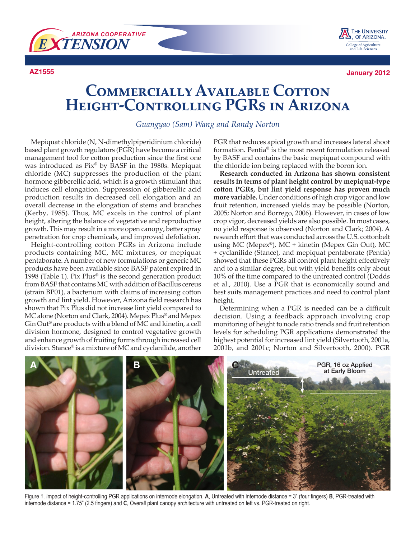



**AZ1555 January 2012**

## **COMMERCIALLY AVAILABLE COTTON Height-Controlling PGRs in Arizona**

*Guangyao (Sam) Wang and Randy Norton*

Mepiquat chloride (N, N-dimethylpiperidinium chloride) based plant growth regulators (PGR) have become a critical management tool for cotton production since the first one was introduced as Pix® by BASF in the 1980s. Mepiquat chloride (MC) suppresses the production of the plant hormone gibberellic acid, which is a growth stimulant that induces cell elongation. Suppression of gibberellic acid production results in decreased cell elongation and an overall decrease in the elongation of stems and branches (Kerby, 1985). Thus, MC excels in the control of plant height, altering the balance of vegetative and reproductive growth. This may result in a more open canopy, better spray penetration for crop chemicals, and improved defoliation.

Height-controlling cotton PGRs in Arizona include products containing MC, MC mixtures, or mepiquat pentaborate. A number of new formulations or generic MC products have been available since BASF patent expired in 1998 (Table 1). Pix Plus® is the second generation product from BASF that contains MC with addition of Bacillus cereus (strain BP01), a bacterium with claims of increasing cotton growth and lint yield. However, Arizona field research has shown that Pix Plus did not increase lint yield compared to MC alone (Norton and Clark, 2004). Mepex Plus® and Mepex Gin Out® are products with a blend of MC and kinetin, a cell division hormone, designed to control vegetative growth and enhance growth of fruiting forms through increased cell division. Stance® is a mixture of MC and cyclanilide, another

PGR that reduces apical growth and increases lateral shoot formation. Pentia® is the most recent formulation released by BASF and contains the basic mepiquat compound with the chloride ion being replaced with the boron ion.

**Research conducted in Arizona has shown consistent results in terms of plant height control by mepiquat-type cotton PGRs, but lint yield response has proven much more variable.** Under conditions of high crop vigor and low fruit retention, increased yields may be possible (Norton, 2005; Norton and Borrego, 2006). However, in cases of low crop vigor, decreased yields are also possible. In most cases, no yield response is observed (Norton and Clark; 2004). A research effort that was conducted across the U.S. cottonbelt using MC (Mepex®), MC + kinetin (Mepex Gin Out), MC + cyclanilide (Stance), and mepiquat pentaborate (Pentia) showed that these PGRs all control plant height effectively and to a similar degree, but with yield benefits only about 10% of the time compared to the untreated control (Dodds et al., 2010). Use a PGR that is economically sound and best suits management practices and need to control plant height.

Determining when a PGR is needed can be a difficult decision. Using a feedback approach involving crop monitoring of height to node ratio trends and fruit retention levels for scheduling PGR applications demonstrated the highest potential for increased lint yield (Silvertooth, 2001a, 2001b, and 2001c; Norton and Silvertooth, 2000). PGR



Figure 1. Impact of height-controlling PGR applications on internode elongation. **A**, Untreated with internode distance = 3" (four fingers) **B**, PGR-treated with internode distance = 1.75" (2.5 fingers) and **C**, Overall plant canopy architecture with untreated on left vs. PGR-treated on right.